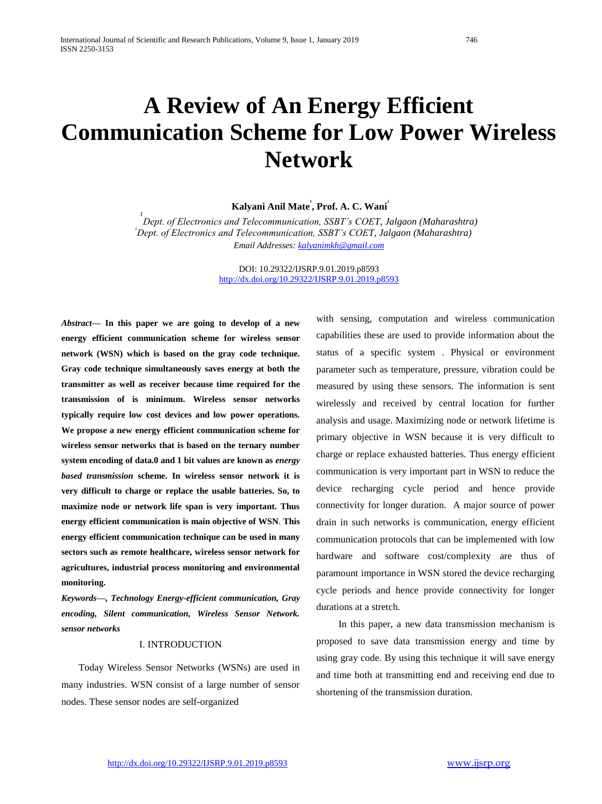# **A Review of An Energy Efficient Communication Scheme for Low Power Wireless Network**

**Kalyani Anil Mate 1 , Prof. A. C. Wani 2** 

<sup>1</sup><br>Dept. of Electronics and Telecommunication, SSBT's COET, Jalgaon (Maharashtra)  *2 Dept. of Electronics and Telecommunication, SSBT's COET, Jalgaon (Maharashtra) Email Addresses: [kalyanimkh@gmail.com](mailto:kalyanimkh@gmail.com)*

> DOI: 10.29322/IJSRP.9.01.2019.p8593 <http://dx.doi.org/10.29322/IJSRP.9.01.2019.p8593>

*Abstract***— In this paper we are going to develop of a new energy efficient communication scheme for wireless sensor network (WSN) which is based on the gray code technique. Gray code technique simultaneously saves energy at both the transmitter as well as receiver because time required for the transmission of is minimum. Wireless sensor networks typically require low cost devices and low power operations. We propose a new energy efficient communication scheme for wireless sensor networks that is based on the ternary number system encoding of data.0 and 1 bit values are known as** *energy based transmission* **scheme. In wireless sensor network it is very difficult to charge or replace the usable batteries. So, to maximize node or network life span is very important. Thus energy efficient communication is main objective of WSN***.* **This energy efficient communication technique can be used in many sectors such as remote healthcare, wireless sensor network for agricultures, industrial process monitoring and environmental monitoring.** 

*Keywords—, Technology Energy-efficient communication, Gray encoding, Silent communication, Wireless Sensor Network. sensor networks*

### I. INTRODUCTION

 Today Wireless Sensor Networks (WSNs) are used in many industries. WSN consist of a large number of sensor nodes. These sensor nodes are self-organized

with sensing, computation and wireless communication capabilities these are used to provide information about the status of a specific system . Physical or environment parameter such as temperature, pressure, vibration could be measured by using these sensors. The information is sent wirelessly and received by central location for further analysis and usage. Maximizing node or network lifetime is primary objective in WSN because it is very difficult to charge or replace exhausted batteries. Thus energy efficient communication is very important part in WSN to reduce the device recharging cycle period and hence provide connectivity for longer duration. A major source of power drain in such networks is communication, energy efficient communication protocols that can be implemented with low hardware and software cost/complexity are thus of paramount importance in WSN stored the device recharging cycle periods and hence provide connectivity for longer durations at a stretch.

 In this paper, a new data transmission mechanism is proposed to save data transmission energy and time by using gray code. By using this technique it will save energy and time both at transmitting end and receiving end due to shortening of the transmission duration.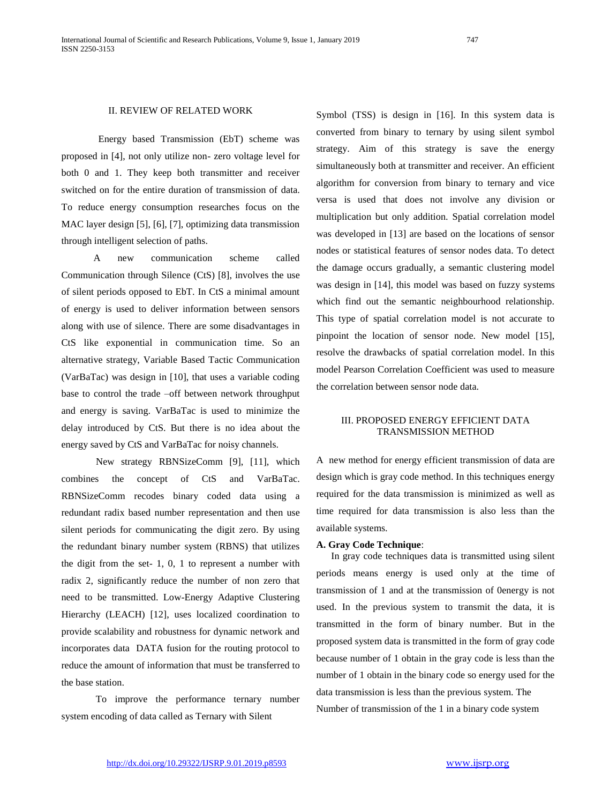# II. REVIEW OF RELATED WORK

 Energy based Transmission (EbT) scheme was proposed in [4], not only utilize non- zero voltage level for both 0 and 1. They keep both transmitter and receiver switched on for the entire duration of transmission of data. To reduce energy consumption researches focus on the MAC layer design [5], [6], [7], optimizing data transmission through intelligent selection of paths.

 A new communication scheme called Communication through Silence (CtS) [8], involves the use of silent periods opposed to EbT. In CtS a minimal amount of energy is used to deliver information between sensors along with use of silence. There are some disadvantages in CtS like exponential in communication time. So an alternative strategy, Variable Based Tactic Communication (VarBaTac) was design in [10], that uses a variable coding base to control the trade –off between network throughput and energy is saving. VarBaTac is used to minimize the delay introduced by CtS. But there is no idea about the energy saved by CtS and VarBaTac for noisy channels.

 New strategy RBNSizeComm [9], [11], which combines the concept of CtS and VarBaTac. RBNSizeComm recodes binary coded data using a redundant radix based number representation and then use silent periods for communicating the digit zero. By using the redundant binary number system (RBNS) that utilizes the digit from the set- 1, 0, 1 to represent a number with radix 2, significantly reduce the number of non zero that need to be transmitted. Low-Energy Adaptive Clustering Hierarchy (LEACH) [12], uses localized coordination to provide scalability and robustness for dynamic network and incorporates data DATA fusion for the routing protocol to reduce the amount of information that must be transferred to the base station.

 To improve the performance ternary number system encoding of data called as Ternary with Silent

Symbol (TSS) is design in [16]. In this system data is converted from binary to ternary by using silent symbol strategy. Aim of this strategy is save the energy simultaneously both at transmitter and receiver. An efficient algorithm for conversion from binary to ternary and vice versa is used that does not involve any division or multiplication but only addition. Spatial correlation model was developed in [13] are based on the locations of sensor nodes or statistical features of sensor nodes data. To detect the damage occurs gradually, a semantic clustering model was design in [14], this model was based on fuzzy systems which find out the semantic neighbourhood relationship. This type of spatial correlation model is not accurate to pinpoint the location of sensor node. New model [15], resolve the drawbacks of spatial correlation model. In this model Pearson Correlation Coefficient was used to measure the correlation between sensor node data.

# III. PROPOSED ENERGY EFFICIENT DATA TRANSMISSION METHOD

A new method for energy efficient transmission of data are design which is gray code method. In this techniques energy required for the data transmission is minimized as well as time required for data transmission is also less than the available systems.

#### **A. Gray Code Technique**:

 In gray code techniques data is transmitted using silent periods means energy is used only at the time of transmission of 1 and at the transmission of 0energy is not used. In the previous system to transmit the data, it is transmitted in the form of binary number. But in the proposed system data is transmitted in the form of gray code because number of 1 obtain in the gray code is less than the number of 1 obtain in the binary code so energy used for the data transmission is less than the previous system. The Number of transmission of the 1 in a binary code system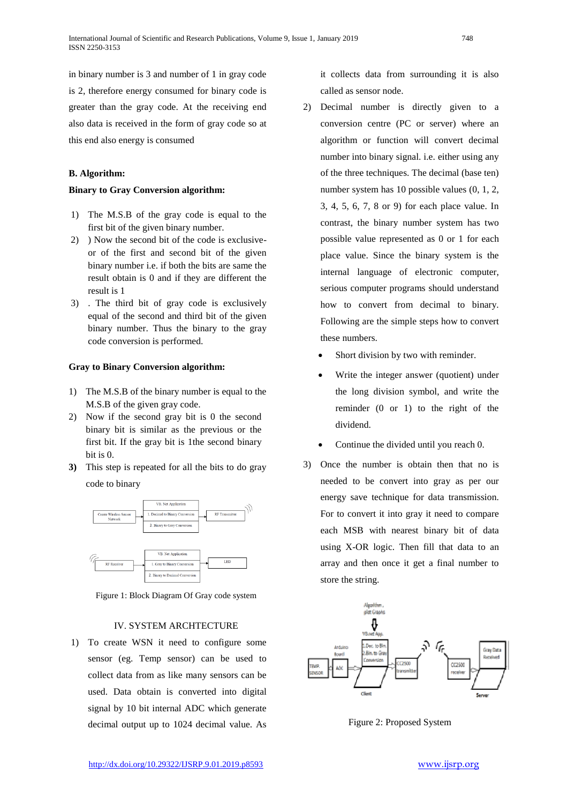in binary number is 3 and number of 1 in gray code is 2, therefore energy consumed for binary code is greater than the gray code. At the receiving end also data is received in the form of gray code so at this end also energy is consumed

# **B. Algorithm:**

#### **Binary to Gray Conversion algorithm:**

- 1) The M.S.B of the gray code is equal to the first bit of the given binary number.
- 2) ) Now the second bit of the code is exclusiveor of the first and second bit of the given binary number i.e. if both the bits are same the result obtain is 0 and if they are different the result is 1
- 3) . The third bit of gray code is exclusively equal of the second and third bit of the given binary number. Thus the binary to the gray code conversion is performed.

#### **Gray to Binary Conversion algorithm:**

- 1) The M.S.B of the binary number is equal to the M.S.B of the given gray code.
- 2) Now if the second gray bit is 0 the second binary bit is similar as the previous or the first bit. If the gray bit is 1the second binary bit is 0.
- **3)** This step is repeated for all the bits to do gray code to binary



Figure 1: Block Diagram Of Gray code system

# IV. SYSTEM ARCHTECTURE

1) To create WSN it need to configure some sensor (eg. Temp sensor) can be used to collect data from as like many sensors can be used. Data obtain is converted into digital signal by 10 bit internal ADC which generate decimal output up to 1024 decimal value. As

it collects data from surrounding it is also called as sensor node.

- 2) Decimal number is directly given to a conversion centre (PC or server) where an algorithm or function will convert decimal number into binary signal. i.e. either using any of the three techniques. The decimal (base ten) number system has 10 possible values (0, 1, 2, 3, 4, 5, 6, 7, 8 or 9) for each place value. In contrast, the binary number system has two possible value represented as 0 or 1 for each place value. Since the binary system is the internal language of electronic computer, serious computer programs should understand how to convert from decimal to binary. Following are the simple steps how to convert these numbers.
	- Short division by two with reminder.
	- Write the integer answer (quotient) under the long division symbol, and write the reminder (0 or 1) to the right of the dividend.
	- Continue the divided until you reach 0.
- 3) Once the number is obtain then that no is needed to be convert into gray as per our energy save technique for data transmission. For to convert it into gray it need to compare each MSB with nearest binary bit of data using X-OR logic. Then fill that data to an array and then once it get a final number to store the string.



Figure 2: Proposed System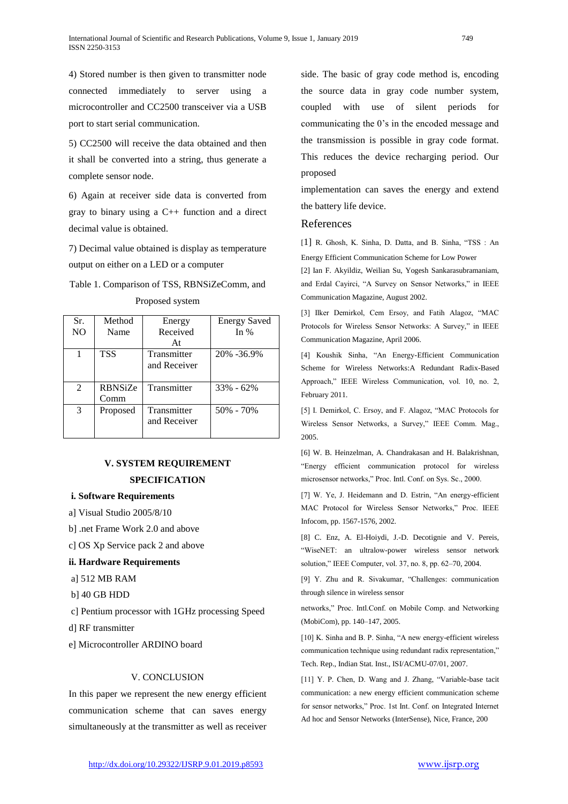4) Stored number is then given to transmitter node connected immediately to server using a microcontroller and CC2500 transceiver via a USB port to start serial communication.

5) CC2500 will receive the data obtained and then it shall be converted into a string, thus generate a complete sensor node.

6) Again at receiver side data is converted from gray to binary using a  $C_{++}$  function and a direct decimal value is obtained.

7) Decimal value obtained is display as temperature output on either on a LED or a computer

# Table 1. Comparison of TSS, RBNSiZeComm, and Proposed system

| Sr.             | Method     | Energy                      | <b>Energy Saved</b> |
|-----------------|------------|-----------------------------|---------------------|
| NO <sub>1</sub> | Name       | Received                    | In $%$              |
|                 |            | At                          |                     |
|                 | <b>TSS</b> | Transmitter<br>and Receiver | 20% -36.9%          |
|                 |            |                             |                     |
| 2               | RBNSiZe    | Transmitter                 | $33\% - 62\%$       |
|                 | Comm       |                             |                     |
| $\mathcal{E}$   | Proposed   | Transmitter<br>and Receiver | 50% - 70%           |

# **V. SYSTEM REQUIREMENT SPECIFICATION**

#### **i. Software Requirements**

- a] Visual Studio 2005/8/10
- b] .net Frame Work 2.0 and above
- c] OS Xp Service pack 2 and above

#### **ii. Hardware Requirements**

- a] 512 MB RAM
- b] 40 GB HDD
- c] Pentium processor with 1GHz processing Speed
- d] RF transmitter
- e] Microcontroller ARDINO board

# V. CONCLUSION

In this paper we represent the new energy efficient communication scheme that can saves energy simultaneously at the transmitter as well as receiver side. The basic of gray code method is, encoding the source data in gray code number system, coupled with use of silent periods for communicating the 0's in the encoded message and the transmission is possible in gray code format. This reduces the device recharging period. Our proposed

implementation can saves the energy and extend the battery life device.

# References

[1] R. Ghosh, K. Sinha, D. Datta, and B. Sinha, "TSS : An Energy Efficient Communication Scheme for Low Power

[2] Ian F. Akyildiz, Weilian Su, Yogesh Sankarasubramaniam, and Erdal Cayirci, "A Survey on Sensor Networks," in IEEE Communication Magazine, August 2002.

[3] Ilker Demirkol, Cem Ersoy, and Fatih Alagoz, "MAC Protocols for Wireless Sensor Networks: A Survey," in IEEE Communication Magazine, April 2006.

[4] Koushik Sinha, "An Energy-Efficient Communication Scheme for Wireless Networks:A Redundant Radix-Based Approach," IEEE Wireless Communication, vol. 10, no. 2, February 2011.

[5] I. Demirkol, C. Ersoy, and F. Alagoz, "MAC Protocols for Wireless Sensor Networks, a Survey," IEEE Comm. Mag., 2005.

[6] W. B. Heinzelman, A. Chandrakasan and H. Balakrishnan, "Energy efficient communication protocol for wireless microsensor networks," Proc. Intl. Conf. on Sys. Sc., 2000.

[7] W. Ye, J. Heidemann and D. Estrin, "An energy-efficient MAC Protocol for Wireless Sensor Networks," Proc. IEEE Infocom, pp. 1567-1576, 2002.

[8] C. Enz, A. El-Hoiydi, J.-D. Decotignie and V. Pereis, "WiseNET: an ultralow-power wireless sensor network solution," IEEE Computer, vol. 37, no. 8, pp. 62–70, 2004.

[9] Y. Zhu and R. Sivakumar, "Challenges: communication through silence in wireless sensor

networks," Proc. Intl.Conf. on Mobile Comp. and Networking (MobiCom), pp. 140–147, 2005.

[10] K. Sinha and B. P. Sinha, "A new energy-efficient wireless communication technique using redundant radix representation," Tech. Rep., Indian Stat. Inst., ISI/ACMU-07/01, 2007.

[11] Y. P. Chen, D. Wang and J. Zhang, "Variable-base tacit communication: a new energy efficient communication scheme for sensor networks," Proc. 1st Int. Conf. on Integrated Internet Ad hoc and Sensor Networks (InterSense), Nice, France, 200